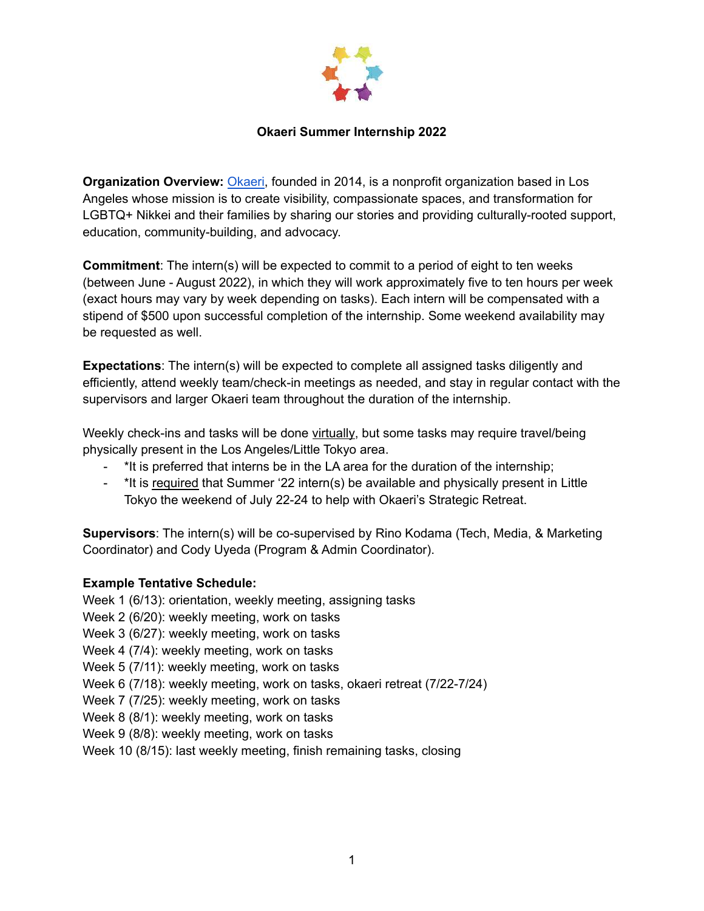

### **Okaeri Summer Internship 2022**

**Organization Overview:** [Okaeri](https://www.okaeri-losangeles.org), founded in 2014, is a nonprofit organization based in Los Angeles whose mission is to create visibility, compassionate spaces, and transformation for LGBTQ+ Nikkei and their families by sharing our stories and providing culturally-rooted support, education, community-building, and advocacy.

**Commitment**: The intern(s) will be expected to commit to a period of eight to ten weeks (between June - August 2022), in which they will work approximately five to ten hours per week (exact hours may vary by week depending on tasks). Each intern will be compensated with a stipend of \$500 upon successful completion of the internship. Some weekend availability may be requested as well.

**Expectations**: The intern(s) will be expected to complete all assigned tasks diligently and efficiently, attend weekly team/check-in meetings as needed, and stay in regular contact with the supervisors and larger Okaeri team throughout the duration of the internship.

Weekly check-ins and tasks will be done virtually, but some tasks may require travel/being physically present in the Los Angeles/Little Tokyo area.

- \*It is preferred that interns be in the LA area for the duration of the internship;
- \*It is required that Summer '22 intern(s) be available and physically present in Little Tokyo the weekend of July 22-24 to help with Okaeri's Strategic Retreat.

**Supervisors**: The intern(s) will be co-supervised by Rino Kodama (Tech, Media, & Marketing Coordinator) and Cody Uyeda (Program & Admin Coordinator).

## **Example Tentative Schedule:**

Week 1 (6/13): orientation, weekly meeting, assigning tasks Week 2 (6/20): weekly meeting, work on tasks Week 3 (6/27): weekly meeting, work on tasks Week 4 (7/4): weekly meeting, work on tasks Week 5 (7/11): weekly meeting, work on tasks Week 6 (7/18): weekly meeting, work on tasks, okaeri retreat (7/22-7/24) Week 7 (7/25): weekly meeting, work on tasks Week 8 (8/1): weekly meeting, work on tasks Week 9 (8/8): weekly meeting, work on tasks Week 10 (8/15): last weekly meeting, finish remaining tasks, closing